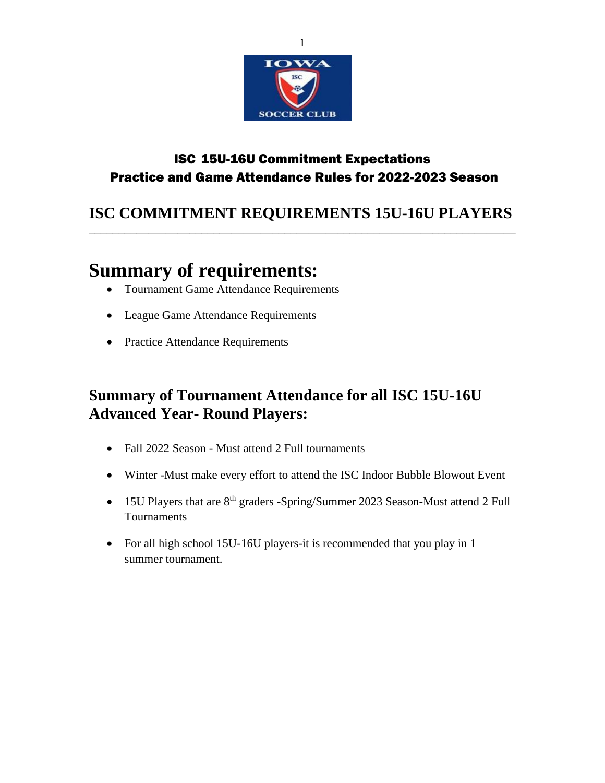

### ISC 15U-16U Commitment Expectations Practice and Game Attendance Rules for 2022-2023 Season

### **ISC COMMITMENT REQUIREMENTS 15U-16U PLAYERS** \_\_\_\_\_\_\_\_\_\_\_\_\_\_\_\_\_\_\_\_\_\_\_\_\_\_\_\_\_\_\_\_\_\_\_\_\_\_\_\_\_\_\_\_\_\_\_\_\_\_\_\_\_\_\_\_\_\_\_\_\_\_\_\_\_\_\_\_\_\_\_\_

# **Summary of requirements:**

- Tournament Game Attendance Requirements
- League Game Attendance Requirements
- Practice Attendance Requirements

## **Summary of Tournament Attendance for all ISC 15U-16U Advanced Year- Round Players:**

- Fall 2022 Season Must attend 2 Full tournaments
- Winter -Must make every effort to attend the ISC Indoor Bubble Blowout Event
- 15U Players that are 8<sup>th</sup> graders -Spring/Summer 2023 Season-Must attend 2 Full **Tournaments**
- For all high school 15U-16U players-it is recommended that you play in 1 summer tournament.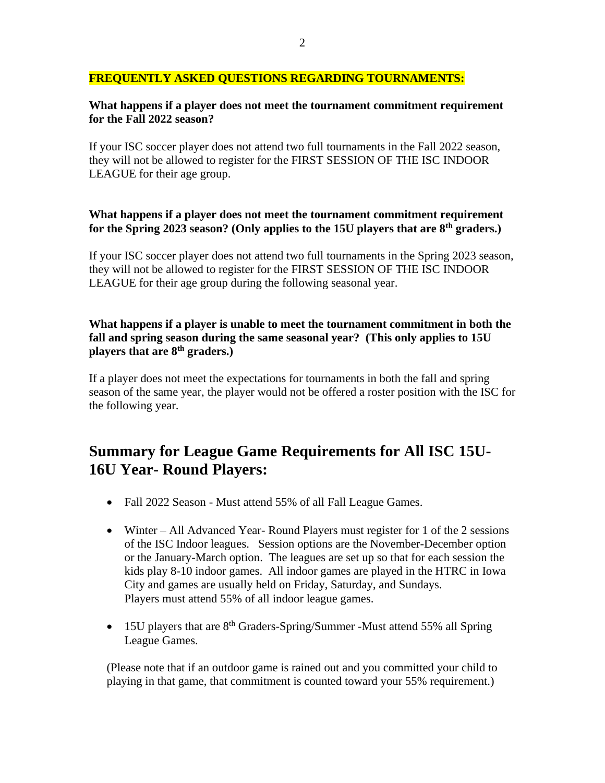### **FREQUENTLY ASKED QUESTIONS REGARDING TOURNAMENTS:**

### **What happens if a player does not meet the tournament commitment requirement for the Fall 2022 season?**

If your ISC soccer player does not attend two full tournaments in the Fall 2022 season, they will not be allowed to register for the FIRST SESSION OF THE ISC INDOOR LEAGUE for their age group.

### **What happens if a player does not meet the tournament commitment requirement for the Spring 2023 season? (Only applies to the 15U players that are 8th graders.)**

If your ISC soccer player does not attend two full tournaments in the Spring 2023 season, they will not be allowed to register for the FIRST SESSION OF THE ISC INDOOR LEAGUE for their age group during the following seasonal year.

### **What happens if a player is unable to meet the tournament commitment in both the fall and spring season during the same seasonal year? (This only applies to 15U players that are 8th graders.)**

If a player does not meet the expectations for tournaments in both the fall and spring season of the same year, the player would not be offered a roster position with the ISC for the following year.

### **Summary for League Game Requirements for All ISC 15U-16U Year- Round Players:**

- Fall 2022 Season Must attend 55% of all Fall League Games.
- Winter All Advanced Year-Round Players must register for 1 of the 2 sessions of the ISC Indoor leagues. Session options are the November-December option or the January-March option. The leagues are set up so that for each session the kids play 8-10 indoor games. All indoor games are played in the HTRC in Iowa City and games are usually held on Friday, Saturday, and Sundays. Players must attend 55% of all indoor league games.
- 15U players that are  $8<sup>th</sup>$  Graders-Spring/Summer -Must attend 55% all Spring League Games.

(Please note that if an outdoor game is rained out and you committed your child to playing in that game, that commitment is counted toward your 55% requirement.)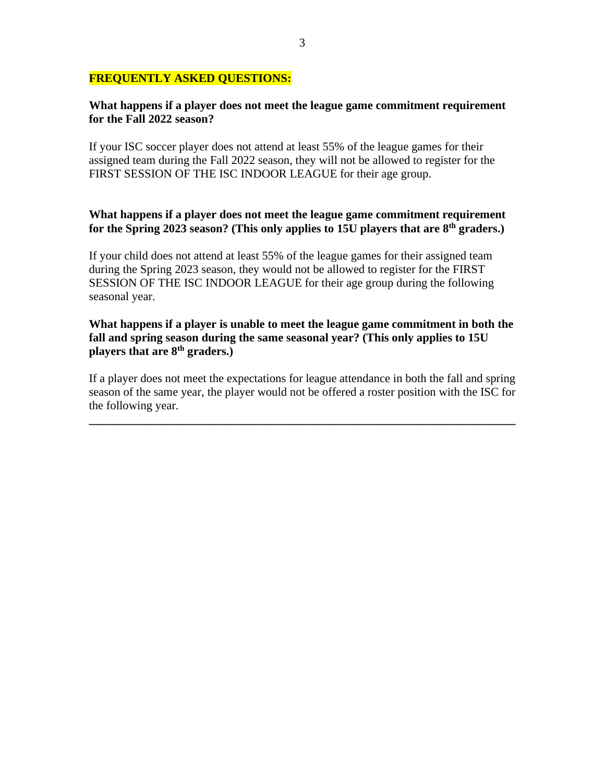### **FREQUENTLY ASKED QUESTIONS:**

### **What happens if a player does not meet the league game commitment requirement for the Fall 2022 season?**

If your ISC soccer player does not attend at least 55% of the league games for their assigned team during the Fall 2022 season, they will not be allowed to register for the FIRST SESSION OF THE ISC INDOOR LEAGUE for their age group.

### **What happens if a player does not meet the league game commitment requirement for the Spring 2023 season? (This only applies to 15U players that are 8 th graders.)**

If your child does not attend at least 55% of the league games for their assigned team during the Spring 2023 season, they would not be allowed to register for the FIRST SESSION OF THE ISC INDOOR LEAGUE for their age group during the following seasonal year.

### **What happens if a player is unable to meet the league game commitment in both the fall and spring season during the same seasonal year? (This only applies to 15U players that are 8th graders.)**

If a player does not meet the expectations for league attendance in both the fall and spring season of the same year, the player would not be offered a roster position with the ISC for the following year.

**\_\_\_\_\_\_\_\_\_\_\_\_\_\_\_\_\_\_\_\_\_\_\_\_\_\_\_\_\_\_\_\_\_\_\_\_\_\_\_\_\_\_\_\_\_\_\_\_\_\_\_\_\_\_\_\_\_\_\_\_\_\_\_\_\_\_\_\_\_\_\_\_**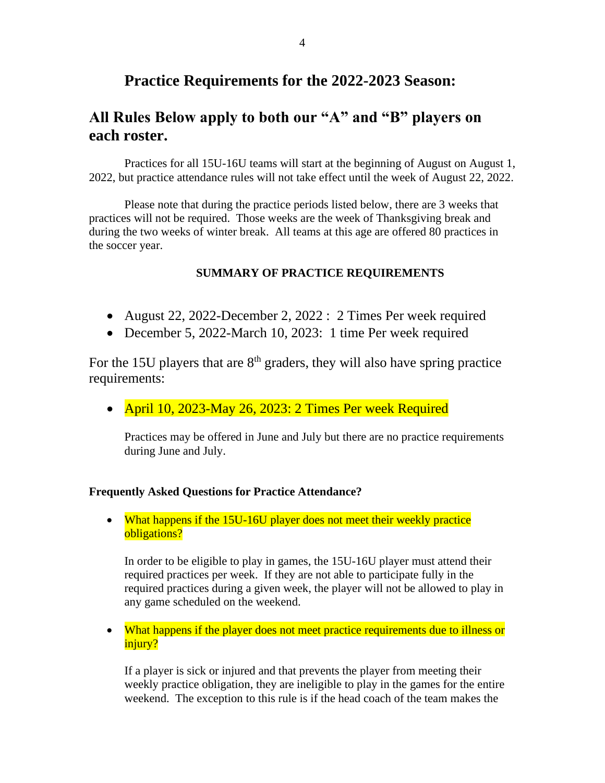### **Practice Requirements for the 2022-2023 Season:**

### **All Rules Below apply to both our "A" and "B" players on each roster.**

Practices for all 15U-16U teams will start at the beginning of August on August 1, 2022, but practice attendance rules will not take effect until the week of August 22, 2022.

Please note that during the practice periods listed below, there are 3 weeks that practices will not be required. Those weeks are the week of Thanksgiving break and during the two weeks of winter break. All teams at this age are offered 80 practices in the soccer year.

### **SUMMARY OF PRACTICE REQUIREMENTS**

- August 22, 2022-December 2, 2022 : 2 Times Per week required
- December 5, 2022-March 10, 2023: 1 time Per week required

For the 15U players that are  $8<sup>th</sup>$  graders, they will also have spring practice requirements:

• April 10, 2023-May 26, 2023: 2 Times Per week Required

Practices may be offered in June and July but there are no practice requirements during June and July.

#### **Frequently Asked Questions for Practice Attendance?**

• What happens if the 15U-16U player does not meet their weekly practice obligations?

In order to be eligible to play in games, the 15U-16U player must attend their required practices per week. If they are not able to participate fully in the required practices during a given week, the player will not be allowed to play in any game scheduled on the weekend.

• What happens if the player does not meet practice requirements due to illness or injury?

If a player is sick or injured and that prevents the player from meeting their weekly practice obligation, they are ineligible to play in the games for the entire weekend. The exception to this rule is if the head coach of the team makes the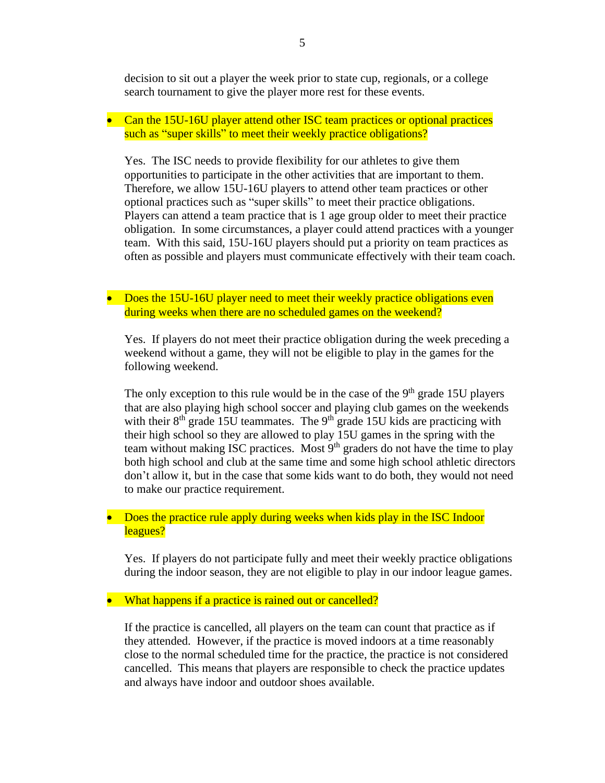decision to sit out a player the week prior to state cup, regionals, or a college search tournament to give the player more rest for these events.

• Can the 15U-16U player attend other ISC team practices or optional practices such as "super skills" to meet their weekly practice obligations?

Yes. The ISC needs to provide flexibility for our athletes to give them opportunities to participate in the other activities that are important to them. Therefore, we allow 15U-16U players to attend other team practices or other optional practices such as "super skills" to meet their practice obligations. Players can attend a team practice that is 1 age group older to meet their practice obligation. In some circumstances, a player could attend practices with a younger team. With this said, 15U-16U players should put a priority on team practices as often as possible and players must communicate effectively with their team coach.

• Does the 15U-16U player need to meet their weekly practice obligations even during weeks when there are no scheduled games on the weekend?

Yes. If players do not meet their practice obligation during the week preceding a weekend without a game, they will not be eligible to play in the games for the following weekend.

The only exception to this rule would be in the case of the  $9<sup>th</sup>$  grade 15U players that are also playing high school soccer and playing club games on the weekends with their  $8<sup>th</sup>$  grade 15U teammates. The  $9<sup>th</sup>$  grade 15U kids are practicing with their high school so they are allowed to play 15U games in the spring with the team without making ISC practices. Most 9<sup>th</sup> graders do not have the time to play both high school and club at the same time and some high school athletic directors don't allow it, but in the case that some kids want to do both, they would not need to make our practice requirement.

• Does the practice rule apply during weeks when kids play in the ISC Indoor leagues?

Yes. If players do not participate fully and meet their weekly practice obligations during the indoor season, they are not eligible to play in our indoor league games.

• What happens if a practice is rained out or cancelled?

If the practice is cancelled, all players on the team can count that practice as if they attended. However, if the practice is moved indoors at a time reasonably close to the normal scheduled time for the practice, the practice is not considered cancelled. This means that players are responsible to check the practice updates and always have indoor and outdoor shoes available.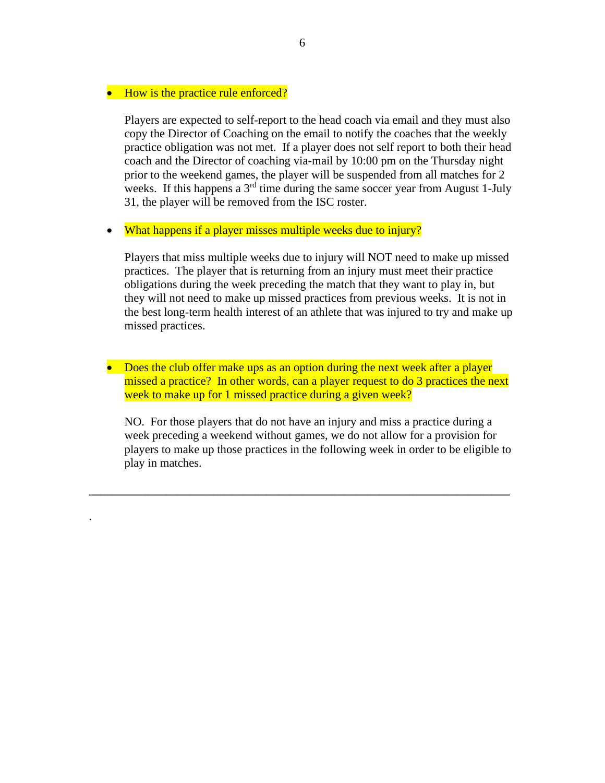### • How is the practice rule enforced?

.

Players are expected to self-report to the head coach via email and they must also copy the Director of Coaching on the email to notify the coaches that the weekly practice obligation was not met. If a player does not self report to both their head coach and the Director of coaching via-mail by 10:00 pm on the Thursday night prior to the weekend games, the player will be suspended from all matches for 2 weeks. If this happens a  $3<sup>rd</sup>$  time during the same soccer year from August 1-July 31, the player will be removed from the ISC roster.

• What happens if a player misses multiple weeks due to injury?

Players that miss multiple weeks due to injury will NOT need to make up missed practices. The player that is returning from an injury must meet their practice obligations during the week preceding the match that they want to play in, but they will not need to make up missed practices from previous weeks. It is not in the best long-term health interest of an athlete that was injured to try and make up missed practices.

• Does the club offer make ups as an option during the next week after a player missed a practice? In other words, can a player request to do 3 practices the next week to make up for 1 missed practice during a given week?

NO. For those players that do not have an injury and miss a practice during a week preceding a weekend without games, we do not allow for a provision for players to make up those practices in the following week in order to be eligible to play in matches.

**\_\_\_\_\_\_\_\_\_\_\_\_\_\_\_\_\_\_\_\_\_\_\_\_\_\_\_\_\_\_\_\_\_\_\_\_\_\_\_\_\_\_\_\_\_\_\_\_\_\_\_\_\_\_\_\_\_\_\_\_\_\_\_\_\_\_\_\_\_\_\_**